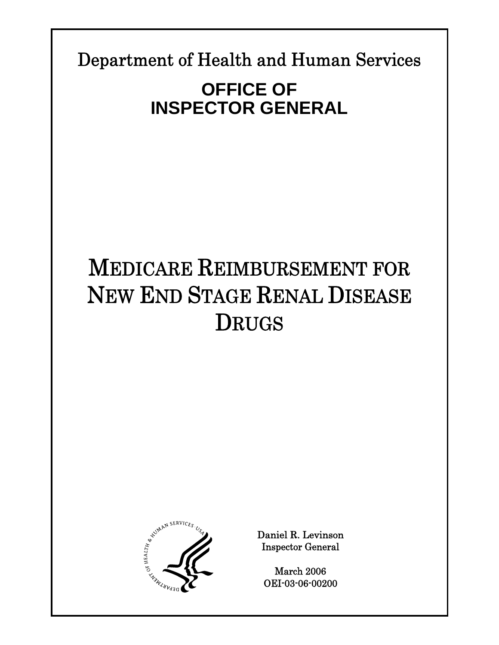Department of Health and Human Services

**Report Template Update = 04-30-05\_rev.13** 

# **OFFICE OF INSPECTOR GENERAL**

# MEDICARE REIMBURSEMENT FOR NEW END STAGE RENAL DISEASE DRUGS



Daniel R. Levinson Inspector General

March 2006 OEI-03-06-00200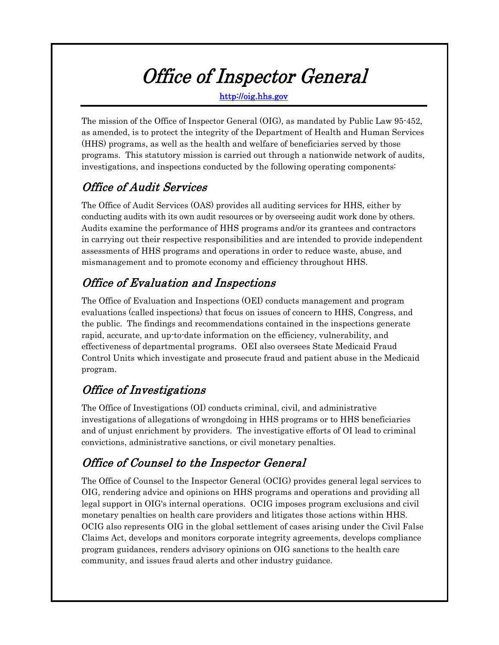# Office of Inspector General

http://oig.hhs.gov

The mission of the Office of Inspector General (OIG), as mandated by Public Law 95-452, as amended, is to protect the integrity of the Department of Health and Human Services (HHS) programs, as well as the health and welfare of beneficiaries served by those programs. This statutory mission is carried out through a nationwide network of audits, investigations, and inspections conducted by the following operating components:

# Office of Audit Services

The Office of Audit Services (OAS) provides all auditing services for HHS, either by conducting audits with its own audit resources or by overseeing audit work done by others. Audits examine the performance of HHS programs and/or its grantees and contractors in carrying out their respective responsibilities and are intended to provide independent assessments of HHS programs and operations in order to reduce waste, abuse, and mismanagement and to promote economy and efficiency throughout HHS.

# Office of Evaluation and Inspections

The Office of Evaluation and Inspections (OEI) conducts management and program evaluations (called inspections) that focus on issues of concern to HHS, Congress, and the public. The findings and recommendations contained in the inspections generate rapid, accurate, and up-to-date information on the efficiency, vulnerability, and effectiveness of departmental programs. OEI also oversees State Medicaid Fraud Control Units which investigate and prosecute fraud and patient abuse in the Medicaid program.

# Office of Investigations

The Office of Investigations (OI) conducts criminal, civil, and administrative investigations of allegations of wrongdoing in HHS programs or to HHS beneficiaries and of unjust enrichment by providers. The investigative efforts of OI lead to criminal convictions, administrative sanctions, or civil monetary penalties.

# Office of Counsel to the Inspector General

The Office of Counsel to the Inspector General (OCIG) provides general legal services to OIG, rendering advice and opinions on HHS programs and operations and providing all legal support in OIG's internal operations. OCIG imposes program exclusions and civil monetary penalties on health care providers and litigates those actions within HHS. OCIG also represents OIG in the global settlement of cases arising under the Civil False Claims Act, develops and monitors corporate integrity agreements, develops compliance program guidances, renders advisory opinions on OIG sanctions to the health care community, and issues fraud alerts and other industry guidance.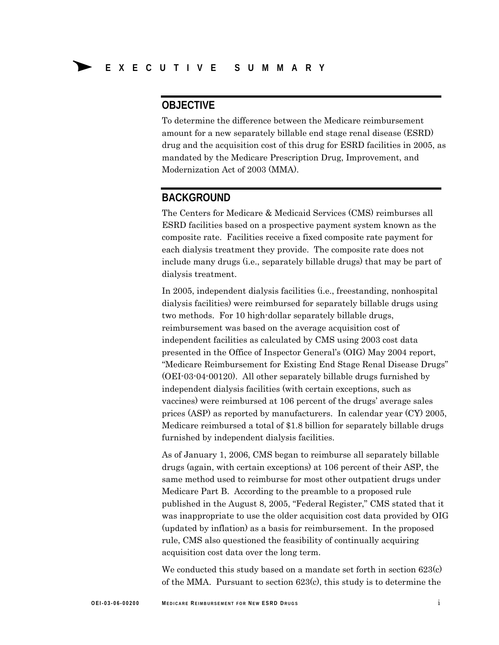## **OBJECTIVE**

To determine the difference between the Medicare reimbursement amount for a new separately billable end stage renal disease (ESRD) drug and the acquisition cost of this drug for ESRD facilities in 2005, as mandated by the Medicare Prescription Drug, Improvement, and Modernization Act of 2003 (MMA).

## **BACKGROUND**

The Centers for Medicare & Medicaid Services (CMS) reimburses all ESRD facilities based on a prospective payment system known as the composite rate. Facilities receive a fixed composite rate payment for each dialysis treatment they provide. The composite rate does not include many drugs (i.e., separately billable drugs) that may be part of dialysis treatment.

In 2005, independent dialysis facilities (i.e., freestanding, nonhospital dialysis facilities) were reimbursed for separately billable drugs using two methods. For 10 high-dollar separately billable drugs, reimbursement was based on the average acquisition cost of independent facilities as calculated by CMS using 2003 cost data presented in the Office of Inspector General's (OIG) May 2004 report, "Medicare Reimbursement for Existing End Stage Renal Disease Drugs" (OEI-03-04-00120). All other separately billable drugs furnished by independent dialysis facilities (with certain exceptions, such as vaccines) were reimbursed at 106 percent of the drugs' average sales prices (ASP) as reported by manufacturers. In calendar year (CY) 2005, Medicare reimbursed a total of \$1.8 billion for separately billable drugs furnished by independent dialysis facilities.

As of January 1, 2006, CMS began to reimburse all separately billable drugs (again, with certain exceptions) at 106 percent of their ASP, the same method used to reimburse for most other outpatient drugs under Medicare Part B. According to the preamble to a proposed rule published in the August 8, 2005, "Federal Register," CMS stated that it was inappropriate to use the older acquisition cost data provided by OIG (updated by inflation) as a basis for reimbursement. In the proposed rule, CMS also questioned the feasibility of continually acquiring acquisition cost data over the long term.

We conducted this study based on a mandate set forth in section 623(c) of the MMA. Pursuant to section 623(c), this study is to determine the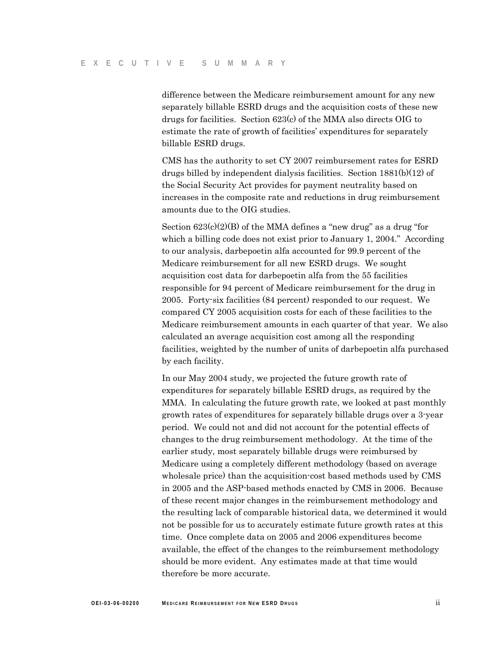difference between the Medicare reimbursement amount for any new separately billable ESRD drugs and the acquisition costs of these new drugs for facilities. Section 623(c) of the MMA also directs OIG to estimate the rate of growth of facilities' expenditures for separately billable ESRD drugs.

CMS has the authority to set CY 2007 reimbursement rates for ESRD drugs billed by independent dialysis facilities. Section 1881(b)(12) of the Social Security Act provides for payment neutrality based on increases in the composite rate and reductions in drug reimbursement amounts due to the OIG studies.

Section  $623(c)(2)(B)$  of the MMA defines a "new drug" as a drug "for which a billing code does not exist prior to January 1, 2004." According to our analysis, darbepoetin alfa accounted for 99.9 percent of the Medicare reimbursement for all new ESRD drugs. We sought acquisition cost data for darbepoetin alfa from the 55 facilities responsible for 94 percent of Medicare reimbursement for the drug in 2005. Forty-six facilities (84 percent) responded to our request. We compared CY 2005 acquisition costs for each of these facilities to the Medicare reimbursement amounts in each quarter of that year. We also calculated an average acquisition cost among all the responding facilities, weighted by the number of units of darbepoetin alfa purchased by each facility.

In our May 2004 study, we projected the future growth rate of expenditures for separately billable ESRD drugs, as required by the MMA. In calculating the future growth rate, we looked at past monthly growth rates of expenditures for separately billable drugs over a 3-year period. We could not and did not account for the potential effects of changes to the drug reimbursement methodology. At the time of the earlier study, most separately billable drugs were reimbursed by Medicare using a completely different methodology (based on average wholesale price) than the acquisition-cost based methods used by CMS in 2005 and the ASP-based methods enacted by CMS in 2006. Because of these recent major changes in the reimbursement methodology and the resulting lack of comparable historical data, we determined it would not be possible for us to accurately estimate future growth rates at this time. Once complete data on 2005 and 2006 expenditures become available, the effect of the changes to the reimbursement methodology should be more evident. Any estimates made at that time would therefore be more accurate.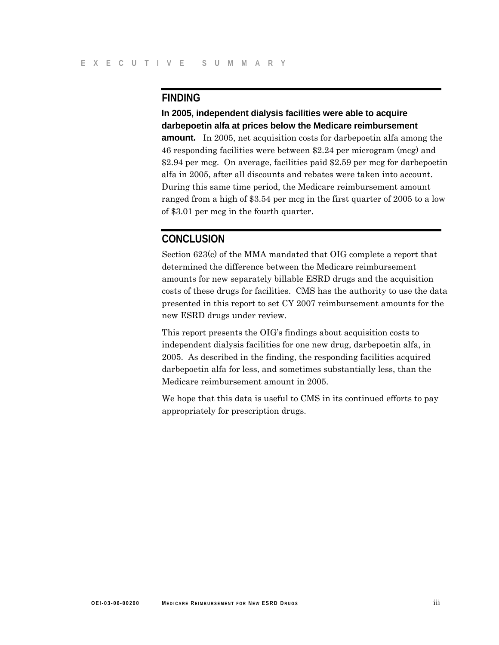## **FINDING**

**In 2005, independent dialysis facilities were able to acquire darbepoetin alfa at prices below the Medicare reimbursement amount.** In 2005, net acquisition costs for darbepoetin alfa among the 46 responding facilities were between \$2.24 per microgram (mcg) and \$2.94 per mcg. On average, facilities paid \$2.59 per mcg for darbepoetin alfa in 2005, after all discounts and rebates were taken into account. During this same time period, the Medicare reimbursement amount ranged from a high of \$3.54 per mcg in the first quarter of 2005 to a low of \$3.01 per mcg in the fourth quarter.

## **CONCLUSION**

Section 623(c) of the MMA mandated that OIG complete a report that determined the difference between the Medicare reimbursement amounts for new separately billable ESRD drugs and the acquisition costs of these drugs for facilities. CMS has the authority to use the data presented in this report to set CY 2007 reimbursement amounts for the new ESRD drugs under review.

This report presents the OIG's findings about acquisition costs to independent dialysis facilities for one new drug, darbepoetin alfa, in 2005. As described in the finding, the responding facilities acquired darbepoetin alfa for less, and sometimes substantially less, than the Medicare reimbursement amount in 2005.

We hope that this data is useful to CMS in its continued efforts to pay appropriately for prescription drugs.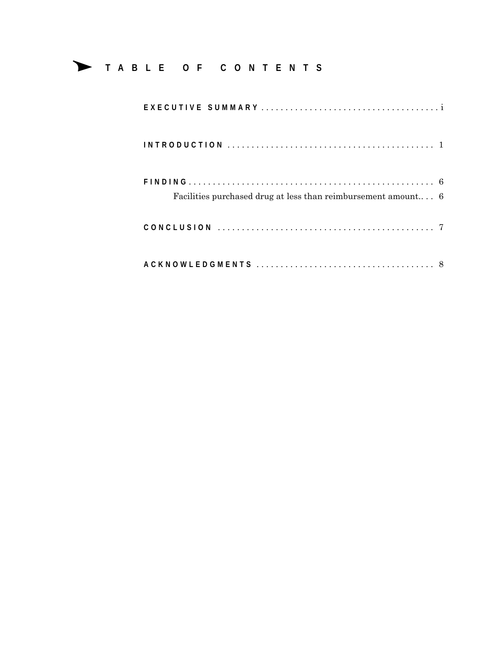# Δ **<sup>T</sup> ABLE OF CONTENTS**

| Facilities purchased drug at less than reimbursement amount $6$ |  |
|-----------------------------------------------------------------|--|
|                                                                 |  |
|                                                                 |  |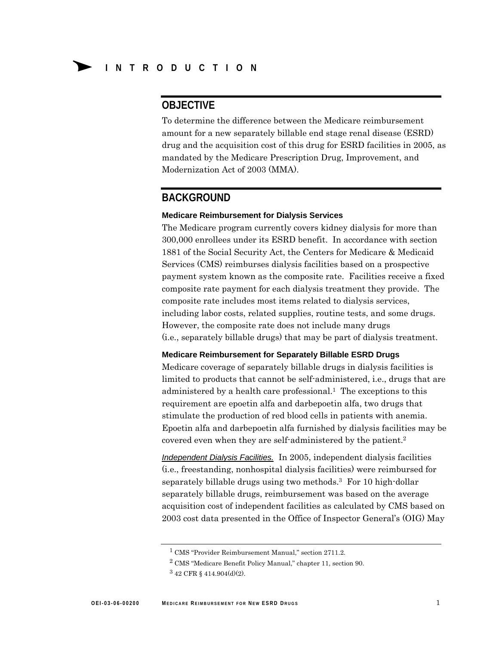## **OBJECTIVE**

To determine the difference between the Medicare reimbursement amount for a new separately billable end stage renal disease (ESRD) drug and the acquisition cost of this drug for ESRD facilities in 2005, as mandated by the Medicare Prescription Drug, Improvement, and Modernization Act of 2003 (MMA).

### **BACKGROUND**

#### **Medicare Reimbursement for Dialysis Services**

The Medicare program currently covers kidney dialysis for more than 300,000 enrollees under its ESRD benefit. In accordance with section 1881 of the Social Security Act, the Centers for Medicare & Medicaid Services (CMS) reimburses dialysis facilities based on a prospective payment system known as the composite rate. Facilities receive a fixed composite rate payment for each dialysis treatment they provide. The composite rate includes most items related to dialysis services, including labor costs, related supplies, routine tests, and some drugs. However, the composite rate does not include many drugs (i.e., separately billable drugs) that may be part of dialysis treatment.

#### **Medicare Reimbursement for Separately Billable ESRD Drugs**

Medicare coverage of separately billable drugs in dialysis facilities is limited to products that cannot be self-administered, i.e., drugs that are administered by a health care professional.<sup>1</sup> The exceptions to this requirement are epoetin alfa and darbepoetin alfa, two drugs that stimulate the production of red blood cells in patients with anemia. Epoetin alfa and darbepoetin alfa furnished by dialysis facilities may be covered even when they are self-administered by the patient.2

*Independent Dialysis Facilities.* In 2005, independent dialysis facilities (i.e., freestanding, nonhospital dialysis facilities) were reimbursed for separately billable drugs using two methods.3 For 10 high-dollar separately billable drugs, reimbursement was based on the average acquisition cost of independent facilities as calculated by CMS based on 2003 cost data presented in the Office of Inspector General's (OIG) May

<sup>&</sup>lt;sup>1</sup> CMS "Provider Reimbursement Manual," section 2711.2.

<sup>2</sup> CMS "Medicare Benefit Policy Manual," chapter 11, section 90.

<sup>3 42</sup> CFR § 414.904(d)(2).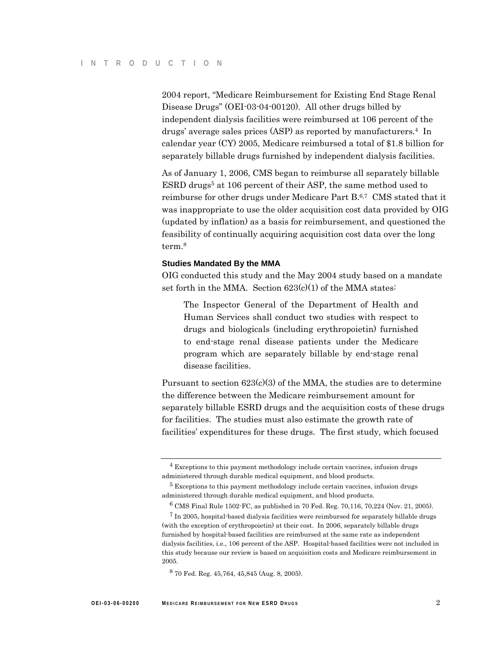2004 report, "Medicare Reimbursement for Existing End Stage Renal Disease Drugs" (OEI-03-04-00120). All other drugs billed by independent dialysis facilities were reimbursed at 106 percent of the drugs' average sales prices (ASP) as reported by manufacturers.4 In calendar year (CY) 2005, Medicare reimbursed a total of \$1.8 billion for separately billable drugs furnished by independent dialysis facilities.

As of January 1, 2006, CMS began to reimburse all separately billable ESRD drugs<sup>5</sup> at 106 percent of their ASP, the same method used to reimburse for other drugs under Medicare Part B.6,7 CMS stated that it was inappropriate to use the older acquisition cost data provided by OIG (updated by inflation) as a basis for reimbursement, and questioned the feasibility of continually acquiring acquisition cost data over the long term.8

#### **Studies Mandated By the MMA**

OIG conducted this study and the May 2004 study based on a mandate set forth in the MMA. Section  $623(c)(1)$  of the MMA states:

The Inspector General of the Department of Health and Human Services shall conduct two studies with respect to drugs and biologicals (including erythropoietin) furnished to end-stage renal disease patients under the Medicare program which are separately billable by end-stage renal disease facilities.

Pursuant to section  $623(c)(3)$  of the MMA, the studies are to determine the difference between the Medicare reimbursement amount for separately billable ESRD drugs and the acquisition costs of these drugs for facilities. The studies must also estimate the growth rate of facilities' expenditures for these drugs. The first study, which focused

<sup>4</sup> Exceptions to this payment methodology include certain vaccines, infusion drugs administered through durable medical equipment, and blood products.

<sup>&</sup>lt;sup>5</sup> Exceptions to this payment methodology include certain vaccines, infusion drugs administered through durable medical equipment, and blood products.

 $6$  CMS Final Rule 1502-FC, as published in 70 Fed. Reg. 70,116, 70,224 (Nov. 21, 2005).

 $7$  In 2005, hospital-based dialysis facilities were reimbursed for separately billable drugs (with the exception of erythropoietin) at their cost. In 2006, separately billable drugs furnished by hospital-based facilities are reimbursed at the same rate as independent dialysis facilities, i.e., 106 percent of the ASP. Hospital-based facilities were not included in this study because our review is based on acquisition costs and Medicare reimbursement in 2005.

<sup>8 70</sup> Fed. Reg. 45,764, 45,845 (Aug. 8, 2005).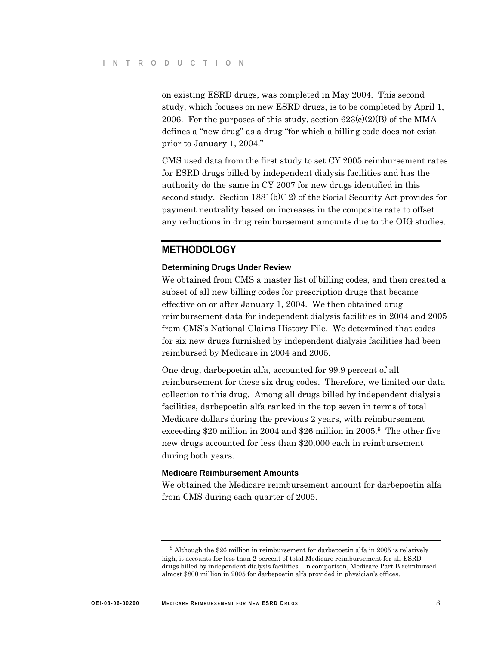on existing ESRD drugs, was completed in May 2004. This second study, which focuses on new ESRD drugs, is to be completed by April 1, 2006. For the purposes of this study, section  $623(c)(2)(B)$  of the MMA defines a "new drug" as a drug "for which a billing code does not exist prior to January 1, 2004."

CMS used data from the first study to set CY 2005 reimbursement rates for ESRD drugs billed by independent dialysis facilities and has the authority do the same in CY 2007 for new drugs identified in this second study. Section 1881(b)(12) of the Social Security Act provides for payment neutrality based on increases in the composite rate to offset any reductions in drug reimbursement amounts due to the OIG studies.

## **METHODOLOGY**

#### **Determining Drugs Under Review**

We obtained from CMS a master list of billing codes, and then created a subset of all new billing codes for prescription drugs that became effective on or after January 1, 2004. We then obtained drug reimbursement data for independent dialysis facilities in 2004 and 2005 from CMS's National Claims History File. We determined that codes for six new drugs furnished by independent dialysis facilities had been reimbursed by Medicare in 2004 and 2005.

One drug, darbepoetin alfa, accounted for 99.9 percent of all reimbursement for these six drug codes. Therefore, we limited our data collection to this drug. Among all drugs billed by independent dialysis facilities, darbepoetin alfa ranked in the top seven in terms of total Medicare dollars during the previous 2 years, with reimbursement exceeding \$20 million in 2004 and \$26 million in 2005.9 The other five new drugs accounted for less than \$20,000 each in reimbursement during both years.

#### **Medicare Reimbursement Amounts**

We obtained the Medicare reimbursement amount for darbepoetin alfa from CMS during each quarter of 2005.

 $9$  Although the \$26 million in reimbursement for darbepoetin alfa in 2005 is relatively high, it accounts for less than 2 percent of total Medicare reimbursement for all ESRD drugs billed by independent dialysis facilities. In comparison, Medicare Part B reimbursed almost \$800 million in 2005 for darbepoetin alfa provided in physician's offices.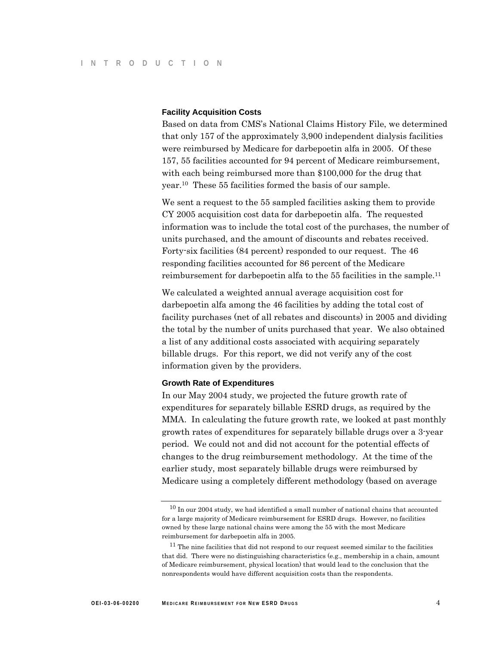#### **Facility Acquisition Costs**

Based on data from CMS's National Claims History File, we determined that only 157 of the approximately 3,900 independent dialysis facilities were reimbursed by Medicare for darbepoetin alfa in 2005. Of these 157, 55 facilities accounted for 94 percent of Medicare reimbursement, with each being reimbursed more than \$100,000 for the drug that year.10 These 55 facilities formed the basis of our sample.

We sent a request to the 55 sampled facilities asking them to provide CY 2005 acquisition cost data for darbepoetin alfa. The requested information was to include the total cost of the purchases, the number of units purchased, and the amount of discounts and rebates received. Forty-six facilities (84 percent) responded to our request. The 46 responding facilities accounted for 86 percent of the Medicare reimbursement for darbepoetin alfa to the 55 facilities in the sample.11

We calculated a weighted annual average acquisition cost for darbepoetin alfa among the 46 facilities by adding the total cost of facility purchases (net of all rebates and discounts) in 2005 and dividing the total by the number of units purchased that year. We also obtained a list of any additional costs associated with acquiring separately billable drugs. For this report, we did not verify any of the cost information given by the providers.

#### **Growth Rate of Expenditures**

In our May 2004 study, we projected the future growth rate of expenditures for separately billable ESRD drugs, as required by the MMA. In calculating the future growth rate, we looked at past monthly growth rates of expenditures for separately billable drugs over a 3-year period. We could not and did not account for the potential effects of changes to the drug reimbursement methodology. At the time of the earlier study, most separately billable drugs were reimbursed by Medicare using a completely different methodology (based on average

 $10$  In our 2004 study, we had identified a small number of national chains that accounted for a large majority of Medicare reimbursement for ESRD drugs. However, no facilities owned by these large national chains were among the 55 with the most Medicare reimbursement for darbepoetin alfa in 2005.

 $11$  The nine facilities that did not respond to our request seemed similar to the facilities that did. There were no distinguishing characteristics (e.g., membership in a chain, amount of Medicare reimbursement, physical location) that would lead to the conclusion that the nonrespondents would have different acquisition costs than the respondents.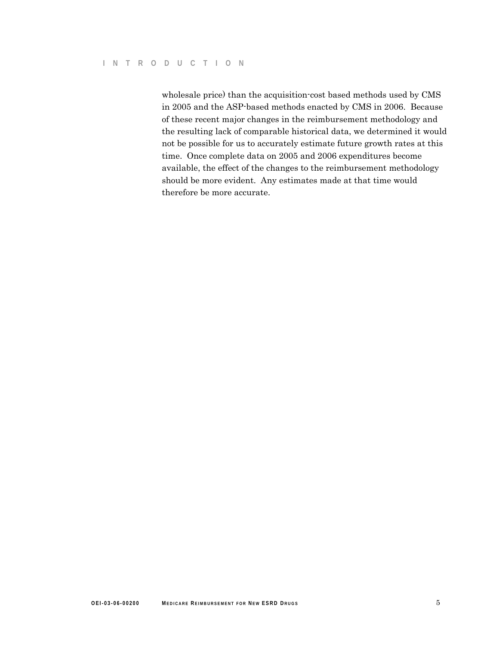wholesale price) than the acquisition-cost based methods used by CMS in 2005 and the ASP-based methods enacted by CMS in 2006. Because of these recent major changes in the reimbursement methodology and the resulting lack of comparable historical data, we determined it would not be possible for us to accurately estimate future growth rates at this time. Once complete data on 2005 and 2006 expenditures become available, the effect of the changes to the reimbursement methodology should be more evident. Any estimates made at that time would therefore be more accurate.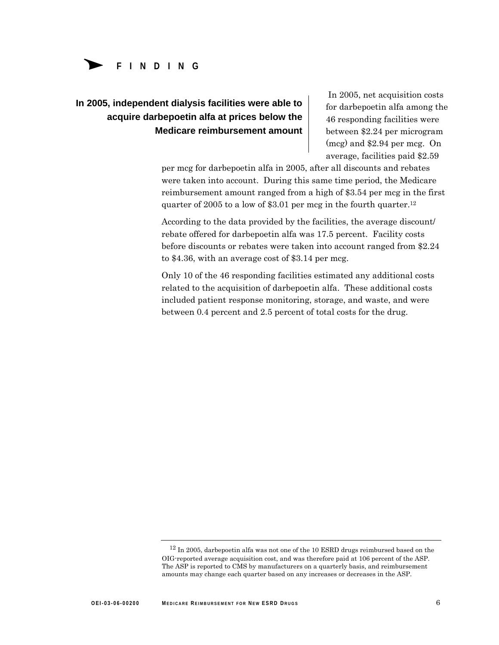

# **In 2005, independent dialysis facilities were able to acquire darbepoetin alfa at prices below the Medicare reimbursement amount**

In 2005, net acquisition costs for darbepoetin alfa among the 46 responding facilities were between \$2.24 per microgram (mcg) and \$2.94 per mcg. On average, facilities paid \$2.59

per mcg for darbepoetin alfa in 2005, after all discounts and rebates were taken into account. During this same time period, the Medicare reimbursement amount ranged from a high of \$3.54 per mcg in the first quarter of 2005 to a low of \$3.01 per mcg in the fourth quarter.12

According to the data provided by the facilities, the average discount/ rebate offered for darbepoetin alfa was 17.5 percent. Facility costs before discounts or rebates were taken into account ranged from \$2.24 to \$4.36, with an average cost of \$3.14 per mcg.

Only 10 of the 46 responding facilities estimated any additional costs related to the acquisition of darbepoetin alfa. These additional costs included patient response monitoring, storage, and waste, and were between 0.4 percent and 2.5 percent of total costs for the drug.

 $^{12}$  In 2005, darbepoetin alfa was not one of the 10 ESRD drugs reimbursed based on the OIG-reported average acquisition cost, and was therefore paid at 106 percent of the ASP. The ASP is reported to CMS by manufacturers on a quarterly basis, and reimbursement amounts may change each quarter based on any increases or decreases in the ASP.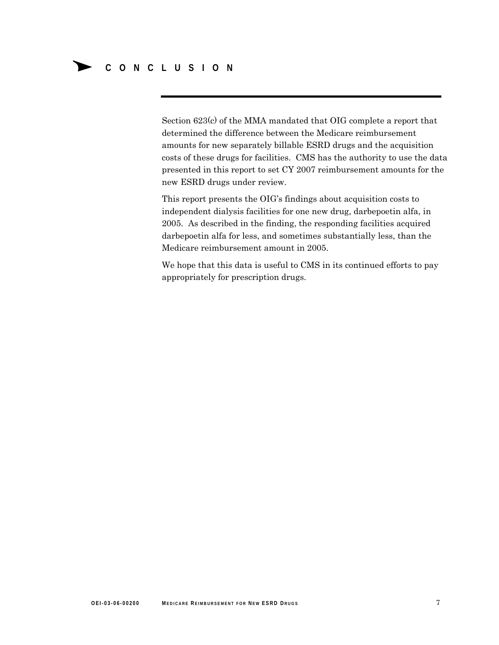Section 623(c) of the MMA mandated that OIG complete a report that determined the difference between the Medicare reimbursement amounts for new separately billable ESRD drugs and the acquisition costs of these drugs for facilities. CMS has the authority to use the data presented in this report to set CY 2007 reimbursement amounts for the new ESRD drugs under review.

This report presents the OIG's findings about acquisition costs to independent dialysis facilities for one new drug, darbepoetin alfa, in 2005. As described in the finding, the responding facilities acquired darbepoetin alfa for less, and sometimes substantially less, than the Medicare reimbursement amount in 2005.

We hope that this data is useful to CMS in its continued efforts to pay appropriately for prescription drugs.